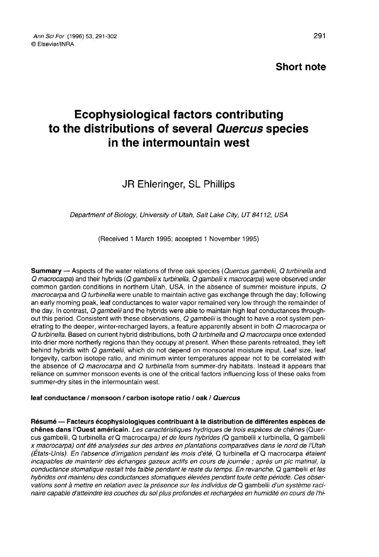# Short note

# Ecophysiological factors contributing to the distributions of several Quercus species in the intermountain west

# JR Ehleringer, SL Phillips

Department of Biology, University of Utah, Salt Lake City, UT 84112, USA

(Received 1 March 1995; accepted 1 November 1995)

Summary — Aspects of the water relations of three oak species (Quercus gambelii, Q turbinella and Q macrocarpa) and their hybrids (Q gambelii x turbinella, Q gambelii x macrocarpa) were observed under common garden conditions in northern Utah, USA. In the absence of summer moisture inputs, Q macrocarpa and Q turbinella were unable to maintain active gas exchange through the day; following an early morning peak, leaf conductances to water vapor remained very low through the remainder of<br>the day, In contrast, Q aambelii and the hybrids were able to maintain high leaf conductances throughout this period. Consistent with these observations,  $Q$  gambelii is thought to have a root system penetrating to the deeper, winter-recharged layers, a feature apparently absent in both Q macrocarpa or Q turbinella. Based on current hybrid distributions, both Q turbinella and Q macrocarpa once extended into drier more northerly regions than they occupy at present. When these parents retreated, they left behind hybrids with Q gambelii, which do not depend on monsoonal moisture input. Leaf size, leaf longevity, carbon isotope ratio, and minimum winter temperatures appear not to be correlated with the absence of Q macrocarpa and Q turbinella from summer-dry habitats. Instead it appears that reliance on summer monsoon events is one of the critical factors influencing loss of these oaks from summer-dry sites in the intermountain west.

#### leaf conductance / monsoon / carbon isotope ratio / oak / Quercus

Résumé — Facteurs écophysiologiques contribuant à la distribution de différentes espèces de<br>chênes dans l'Ouest américain. Les caractéristiques hydriques de trois espèces de chênes (Quercus gambelii, Q turbinella et Q macrocarpa) et de leurs hybrides (Q gambelii x turbinella, Q gambelii x macrocarpa) ont été analysées sur des arbres en plantations comparatives dans le nord de l'Utah (États-Unis). En l'absence d'irrigation pendant les mois d'été, Q turbinella et Q macrocarpa étaient incapables de maintenir des échanges gazeux actifs en cours de journée ; après un pic matinal, la conductance stomatique restait très faible pendant le reste du temps. En revanche, Q gambelii et les hybrides ont maintenu des conductances stomatiques élevées pendant toute cette période. Ces observations sont à mettre en relation avec la présence sur les individus de Q gambelii d'un système racinaire capable d'atteindre les couches du sol plus profondes et rechargées en humidité en cours de l'hi-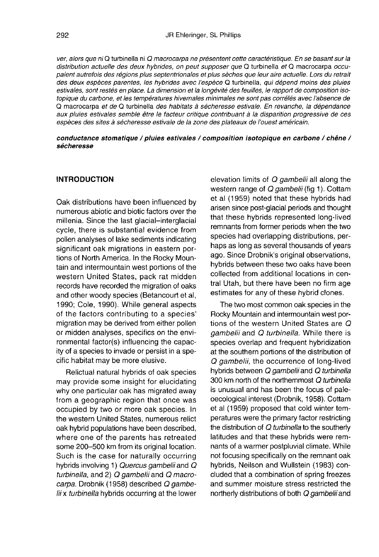ver, alors que ni Q turbinella ni Q macrocarpa ne présentent cette caractéristique. En se basant sur la distribution actuelle des deux hybrides, on peut supposer que Q turbinella et Q macrocarpa occupaient autrefois des régions plus septentrionales et plus sèches que leur aire actuelle. Lors du retrait des deux espèces parentes, les hybrides avec l'espèce Q turbinella, qui dépend moins des pluies estivales, sont restés en place. La dimension et la longévité des feuilles, le rapport de composition isotopique du carbone, et les températures hivernales minimales ne sont pas corrélés avec l'absence de Q macrocarpa et de Q turbinella des habitats à sécheresse estivale. En revanche, la dépendance aux pluies estivales semble être le facteur critique contribuant à la disparition progressive de ces espèces des sites à sécheresse estivale de la zone des plateaux de l'ouest américain.

#### conductance stomatique / pluies estivales / composition isotopique en carbone / chêne / sécheresse

# INTRODUCTION

Oak distributions have been influenced by numerous abiotic and biotic factors over the millenia. Since the last glacial-interglacial cycle, there is substantial evidence from pollen analyses of lake sediments indicating significant oak migrations in eastern portions of North America. In the Rocky Mountain and intermountain west portions of the western United States, pack rat midden records have recorded the migration of oaks and other woody species (Betancourt et al, 1990; Cole, 1990). While general aspects of the factors contributing to a species' migration may be derived from either pollen or midden analyses, specifics on the environmental factor(s) influencing the capacity of a species to invade or persist in a specific habitat may be more elusive.

Relictual natural hybrids of oak species may provide some insight for elucidating why one particular oak has migrated away from a geographic region that once was occupied by two or more oak species. In the western United States, numerous relict oak hybrid populations have been described, where one of the parents has retreated some 200-500 km from its original location. Such is the case for naturally occurring hybrids involving 1) Quercus gambelii and Q turbinella, and 2) Q gambelii and Q macrocarpa. Drobnik (1958) described Q gambelii x turbinella hybrids occurring at the lower

elevation limits of Q gambelii all along the western range of Q gambelii (fig 1). Cottam et al (1959) noted that these hybrids had arisen since post-glacial periods and thought that these hybrids represented long-lived remnants from former periods when the two species had overlapping distributions, perhaps as long as several thousands of years ago. Since Drobnik's original observations, hybrids between these two oaks have been collected from additional locations in central Utah, but there have been no firm age estimates for any of these hybrid clones.

The two most common oak species in the Rocky Mountain and intermountain west portions of the western United States are Q gambelii and Q turbinella. While there is species overlap and frequent hybridization at the southern portions of the distribution of Q gambelii, the occurrence of long-lived hybrids between Q gambelii and Q turbinella 300 km north of the northernmost Q turbinella is unusual and has been the focus of paleoecological interest (Drobnik, 1958). Cottam et al (1959) proposed that cold winter temperatures were the primary factor restricting the distribution of Q turbinella to the southerly latitudes and that these hybrids were remnants of a warmer postpluvial climate. While not focusing specifically on the remnant oak hybrids, Neilson and Wullstein (1983) concluded that a combination of spring freezes and summer moisture stress restricted the northerly distributions of both Q gambelii and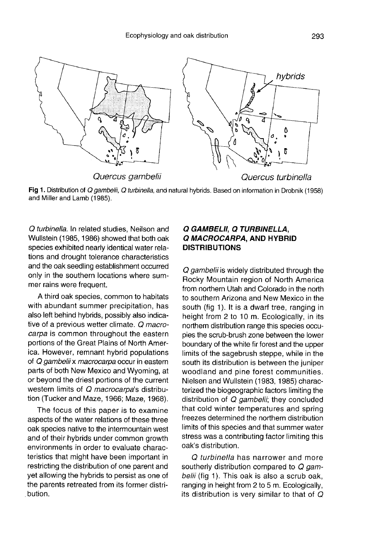

Fig 1. Distribution of Q gambelii, Q turbinella, and natural hybrids. Based on information in Drobnik (1958) and Miller and Lamb (1985).

Q turbinella. In related studies, Neilson and Wullstein (1985, 1986) showed that both oak species exhibited nearly identical water relations and drought tolerance characteristics and the oak seedling establishment occurred only in the southern locations where summer rains were frequent.

A third oak species, common to habitats with abundant summer precipitation, has also left behind hybrids, possibly also indicative of a previous wetter climate. Q macrocarpa is common throughout the eastern portions of the Great Plains of North America. However, remnant hybrid populations of Q gambelii x macrocarpa occur in eastern parts of both New Mexico and Wyoming, at or beyond the driest portions of the current western limits of Q macrocarpa's distribution (Tucker and Maze, 1966; Maze, 1968).

The focus of this paper is to examine aspects of the water relations of these three oak species native to the intermountain west and of their hybrids under common growth environments in order to evaluate characteristics that might have been important in restricting the distribution of one parent and yet allowing the hybrids to persist as one of the parents retreated from its former distribution.

# Q GAMBELII, Q TURBINELLA, Q MACROCARPA, AND HYBRID DISTRIBUTIONS

Q gambelii is widely distributed through the Rocky Mountain region of North America from northern Utah and Colorado in the north to southern Arizona and New Mexico in the south (fig 1). It is a dwarf tree, ranging in height from 2 to 10 m. Ecologically, in its northern distribution range this species occupies the scrub-brush zone between the lower boundary of the white fir forest and the upper limits of the sagebrush steppe, while in the south its distribution is between the juniper woodland and pine forest communities. Nielsen and Wullstein (1983, 1985) characterized the biogeographic factors limiting the distribution of Q gambelii; they concluded that cold winter temperatures and spring freezes determined the northern distribution limits of this species and that summer water stress was a contributing factor limiting this oak's distribution.

Q turbinella has narrower and more southerly distribution compared to Q gambelii (fig 1). This oak is also a scrub oak, ranging in height from 2 to 5 m. Ecologically, its distribution is very similar to that of Q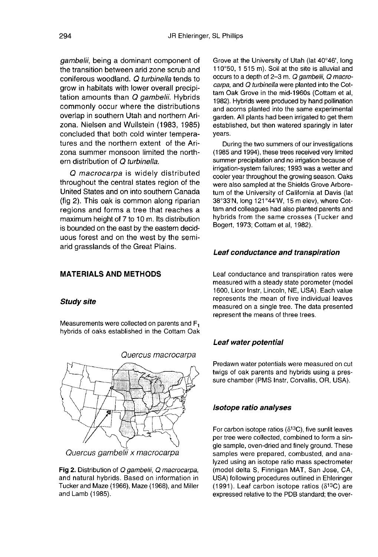gambelii, being a dominant component of the transition between arid zone scrub and coniferous woodland. Q turbinella tends to grow in habitats with lower overall precipitation amounts than Q gambelii. Hybrids commonly occur where the distributions overlap in southern Utah and northern Arizona. Nielsen and Wullstein (1983, 1985) concluded that both cold winter temperatures and the northern extent of the Arizona summer monsoon limited the northern distribution of Q turbinella.

Q macrocarpa is widely distributed throughout the central states region of the United States and on into southern Canada (fig 2). This oak is common along riparian regions and forms a tree that reaches a maximum height of 7 to 10 m. Its distribution is bounded on the east by the eastern deciduous forest and on the west by the semiarid grasslands of the Great Plains.

# MATERIALS AND METHODS

#### Study site

Measurements were collected on parents and F1 hybrids of oaks established in the Cottam Oak



Quercus gambelii x macrocarpa

Fig 2. Distribution of Q gambelii, Q macrocarpa, and natural hybrids. Based on information in Tucker and Maze (1966), Maze (1968), and Miller and Lamb (1985).

Grove at the University of Utah (lat 40°46', long 110°50, 1 515 m). Soil at the site is alluvial and occurs to a depth of 2-3 m. Q gambelii, Q macrocarpa, and Q turbinella were planted into the Cottam Oak Grove in the mid-1960s (Cottam et al, 1982). Hybrids were produced by hand pollination and acorns planted into the same experimental garden. All plants had been irrigated to get them established, but then watered sparingly in later years.

During the two summers of our investigations (1985 and 1994), these trees received very limited summer precipitation and no irrigation because of irrigation-system failures; 1993 was a wetter and cooler year throughout the growing season. Oaks were also sampled at the Shields Grove Arboretum of the University of California at Davis (lat 38°33'N, long 121 °44'W, 15 m elev), where Cottam and colleagues had also planted parents and hybrids from the same crosses (Tucker and Bogert, 1973; Cottam et al, 1982).

#### Leaf conductance and transpiration

Leaf conductance and transpiration rates were measured with a steady state porometer (model 1600, Licor Instr, Lincoln, NE, USA). Each value represents the mean of five individual leaves measured on a single tree. The data presented represent the means of three trees.

#### Leaf water potential

Predawn water potentials were measured on cut twigs of oak parents and hybrids using a pressure chamber (PMS Instr, Corvallis, OR, USA).

# Isotope ratio analyses

For carbon isotope ratios ( $\delta^{13}$ C), five sunlit leaves per tree were collected, combined to form a single sample, oven-dried and finely ground. These samples were prepared, combusted, and analyzed using an isotope ratio mass spectrometer (model delta S, Finnigan MAT, San Jose, CA, USA) following procedures outlined in Ehleringer (1991). Leaf carbon isotope ratios ( $\delta^{13}C$ ) are expressed relative to the PDB standard; the over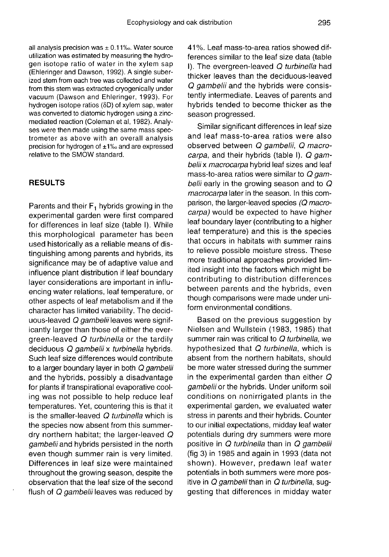all analysis precision was  $\pm$  0.11‰. Water source utilization was estimated by measuring the hydrogen isotope ratio of water in the xylem sap (Ehleringer and Dawson, 1992). A single suberized stem from each tree was collected and water from this stem was extracted cryogenically under vacuum (Dawson and Ehleringer, 1993). For hydrogen isotope ratios (δD) of xylem sap, water was converted to diatomic hydrogen using a zincmediated reaction (Coleman et al, 1982). Analy ses were then made using the same mass spectrometer as above with an overall analysis precision for hydrogen of ±1‰ and are expressed relative to the SMOW standard.

# RESULTS

Parents and their  $F_1$  hybrids growing in the experimental garden were first compared for differences in leaf size (table I). While this morphological parameter has been used historically as a reliable means of distinguishing among parents and hybrids, its significance may be of adaptive value and influence plant distribution if leaf boundary layer considerations are important in influencing water relations, leaf temperature, or other aspects of leaf metabolism and if the character has limited variability. The deciduous-leaved Q gambelii leaves were significantly larger than those of either the evergreen-leaved Q turbinella or the tardily deciduous Q gambelii x turbinella hybrids. Such leaf size differences would contribute to a larger boundary layer in both Q gambelii and the hybrids, possibly a disadvantage for plants if transpirational evaporative cooling was not possible to help reduce leaf temperatures. Yet, countering this is that it is the smaller-leaved Q turbinella which is the species now absent from this summerdry northern habitat; the larger-leaved Q gambelii and hybrids persisted in the north even though summer rain is very limited. Differences in leaf size were maintained throughout the growing season, despite the observation that the leaf size of the second flush of Q gambelii leaves was reduced by 41 %. Leaf mass-to-area ratios showed differences similar to the leaf size data (table I). The evergreen-leaved Q turbinella had thicker leaves than the deciduous-leaved Q gambelii and the hybrids were consistently intermediate. Leaves of parents and hybrids tended to become thicker as the season progressed.

Similar significant differences in leaf size and leaf mass-to-area ratios were also observed between Q gambelii, Q macrocarpa, and their hybrids (table I). Q gambelii x macrocarpa hybrid leaf sizes and leaf mass-to-area ratios were similar to Q gambelii early in the growing season and to  $Q$ macrocarpa later in the season. In this comparison, the larger-leaved species (Q macrocarpa) would be expected to have higher leaf boundary layer (contributing to a higher leaf temperature) and this is the species that occurs in habitats with summer rains to relieve possible moisture stress. These more traditional approaches provided limited insight into the factors which might be contributing to distribution differences between parents and the hybrids, even though comparisons were made under uniform environmental conditions.

Based on the previous suggestion by Nielsen and Wullstein (1983, 1985) that summer rain was critical to Q turbinella, we hypothesized that Q turbinella, which is absent from the northern habitats, should be more water stressed during the summer in the experimental garden than either  $Q$ gambelii or the hybrids. Under uniform soil conditions on nonirrigated plants in the experimental garden, we evaluated water stress in parents and their hybrids. Counter to our initial expectations, midday leaf water potentials during dry summers were more positive in Q turbinella than in Q gambelii (fig 3) in 1985 and again in 1993 (data not shown). However, predawn leaf water potentials in both summers were more positive in Q gambelii than in Q turbinella, suggesting that differences in midday water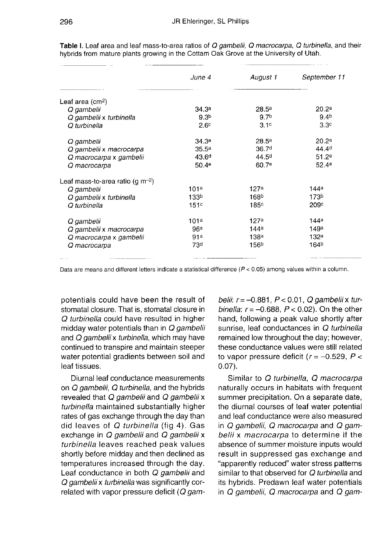|                                        | June 4            | August 1          | September 11      |
|----------------------------------------|-------------------|-------------------|-------------------|
| Leaf area $(cm2)$                      |                   |                   |                   |
| Q gambelii                             | 34.3a             | 28.5 <sup>a</sup> | 20.2 <sup>a</sup> |
| Q gambelii x turbinella                | 9.3 <sup>b</sup>  | 9.7 <sup>b</sup>  | 9.4 <sup>b</sup>  |
| O turbinella                           | 2.6 <sup>c</sup>  | 3.1 <sup>c</sup>  | 3.3 <sup>c</sup>  |
| Q gambelii                             | 34.3a             | 28.5 <sup>a</sup> | 20.2 <sup>a</sup> |
| Q gambelii x macrocarpa                | 35.5a             | 36.7 <sup>d</sup> | 44.4 <sup>d</sup> |
| Q macrocarpa x gambelii                | 43.6 <sup>d</sup> | 44.5 <sup>d</sup> | 51.2e             |
| Q macrocarpa                           | 50.4e             | 60.7 <sup>e</sup> | 52.4e             |
| Leaf mass-to-area ratio (g m $^{-2}$ ) |                   |                   |                   |
| Q gambelii                             | 101a              | 127a              | 144 <sup>a</sup>  |
| Q gambelii x turbinella                | 133 <sup>b</sup>  | 168 <sup>b</sup>  | 173 <sup>b</sup>  |
| Q turbinella                           | 151c              | 185c              | 209c              |
| Q gambelii                             | 101a              | 127a              | 144ª              |
| Q gambelii x macrocarpa                | 96 <sup>a</sup>   | 144a              | 149a              |
| Q macrocarpa x gambelii                | 91 <sup>a</sup>   | 138 <sup>a</sup>  | 132a              |
| Q macrocarpa                           | 73 <sup>d</sup>   | 156 <sup>b</sup>  | 164 <sup>b</sup>  |
|                                        |                   |                   |                   |

Table I. Leaf area and leaf mass-to-area ratios of Q gambelii, Q macrocarpa, Q turbinella, and their hybrids from mature plants growing in the Cottam Oak Grove at the University of Utah.

Data are means and different letters indicate a statistical difference ( $P < 0.05$ ) among values within a column.

potentials could have been the result of stomatal closure. That is, stomatal closure in Q turbinella could have resulted in higher midday water potentials than in Q gambelii and Q gambelii x turbinella, which may have continued to transpire and maintain steeper water potential gradients between soil and leaf tissues.

Diurnal leaf conductance measurements on Q gambelii, Q turbinella, and the hybrids revealed that Q gambelii and Q gambelii x turbinella maintained substantially higher rates of gas exchange through the day than did leaves of Q turbinella (fig 4). Gas exchange in Q gambelii and Q gambelii x turbinella leaves reached peak values shortly before midday and then declined as temperatures increased through the day. Leaf conductance in both Q gambelii and Q gambelii x turbinella was significantly correlated with vapor pressure deficit  $(Q \text{ gam-}$ 

belii:  $r = -0.881$ ,  $P < 0.01$ , Q gambelii x turbinella:  $r = -0.688$ ,  $P < 0.02$ ). On the other hand, following a peak value shortly after sunrise, leaf conductances in Q turbinella remained low throughout the day; however, these conductance values were still related to vapor pressure deficit ( $r = -0.529$ ,  $P <$ 0.07).

Similar to Q turbinella, Q macrocarpa naturally occurs in habitats with frequent summer precipitation. On a separate date, the diurnal courses of leaf water potential and leaf conductance were also measured in Q gambelii, Q macrocarpa and Q gambelii x macrocarpa to determine if the absence of summer moisture inputs would result in suppressed gas exchange and "apparently reduced" water stress patterns similar to that observed for Q turbinella and its hybrids. Predawn leaf water potentials in Q gambelii, Q macrocarpa and Q gam-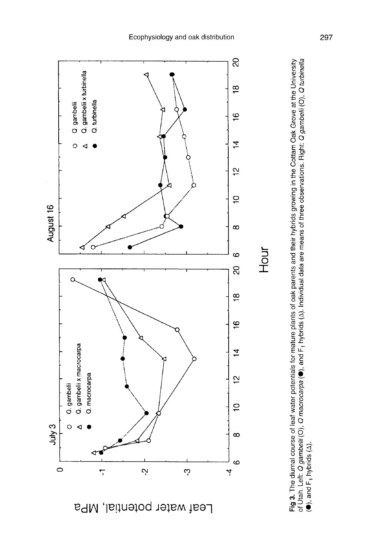

of Utah. Left: *Q gambelii* (O), *Q macrocarpa* (●), and F<sub>1</sub> hybrids (∆). Individual data are means of three observations. Right: *Q gambelii* (O), *Q turbinella*<br>(●), and F<sub>1</sub> hybrids (∆). Fig 3. The diurnal course of leaf water potentials for mature plants of oak parents and their hybrids growing in the Cottam Oak Grove at the University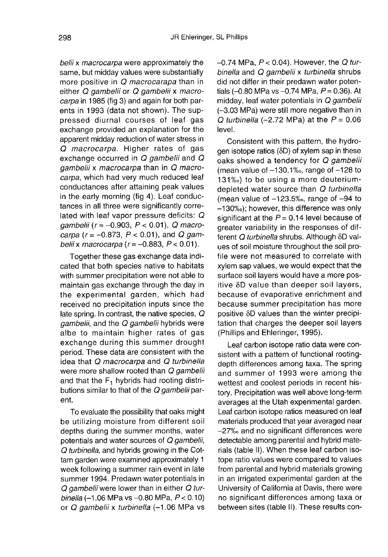belii x macrocarpa were approximately the same, but midday values were substantially more positive in  $Q$  macrocarapa than in either Q gambelii or Q gambelii x macrocarpa in 1985 (fig 3) and again for both parents in 1993 (data not shown). The suppressed diurnal courses of leaf gas exchange provided an explanation for the apparent midday reduction of water stress in Q macrocarpa. Higher rates of gas exchange occurred in Q gambelii and Q gambelii x macrocarpa than in Q macrocarpa, which had very much reduced leaf conductances after attaining peak values in the early morning (fig 4). Leaf conductances in all three were significantly correlated with leaf vapor pressure deficits: Q gambelii ( $r = -0.903$ ,  $P < 0.01$ ), Q macrocarpa ( $r = -0.873$ ,  $P < 0.01$ ), and Q gambelii x macrocarpa ( $r = -0.883$ ,  $P < 0.01$ ).

Together these gas exchange data indicated that both species native to habitats with summer precipitation were not able to maintain gas exchange through the day in the experimental garden, which had received no precipitation inputs since the late spring. In contrast, the native species, Q gambelii, and the Q gambelii hybrids were albe to maintain higher rates of gas exchange during this summer drought period. These data are consistent with the idea that Q macrocarpa and Q turbinella were more shallow rooted than Q gambelii and that the  $F_1$  hybrids had rooting distributions similar to that of the Q gambelii parent.

To evaluate the possibility that oaks might be utilizing moisture from different soil depths during the summer months, water potentials and water sources of Q gambelii, Q turbinella, and hybrids growing in the Cottam garden were examined approximately 1 week following a summer rain event in late summer 1994. Predawn water potentials in  $Q$  gambelii were lower than in either  $Q$  tur-<br>binella (-1.06 MPa vs -0.80 MPa,  $P < 0.10$ ) or Q gambelii x turbinella (-1.06 MPa vs  $-0.74$  MPa,  $P < 0.04$ ). However, the Q turbinella and Q gambelii x turbinella shrubs did not differ in their predawn water potentials ( $-0.80$  MPa vs  $-0.74$  MPa,  $P = 0.36$ ). At midday, leaf water potentials in Q gambelii (-3.03 MPa) were still more negative than in Q turbinella (-2.72 MPa) at the  $P = 0.06$ level.

Consistent with this pattern, the hydrogen isotope ratios (δD) of xylem sap in these oaks showed a tendency for Q gambelii (mean value of  $-130.1%$ , range of  $-128$  to 131‰) to be using a more deuteriumdepleted water source than Q turbinella (mean value of  $-123.5%$ , range of  $-94$  to - 130‰); however, this difference was only significant at the  $P = 0.14$  level because of greater variability in the responses of different Q turbinella shrubs. Although δD values of soil moisture throughout the soil profile were not measured to correlate with xylem sap values, we would expect that the surface soil layers would have a more positive δD value than deeper soil layers, because of evaporative enrichment and because summer precipitation has more positive δD values than the winter precipitation that charges the deeper soil layers (Phillips and Ehleringer, 1995).

Leaf carbon isotope ratio data were consistent with a pattern of functional rootingdepth differences among taxa. The spring and summer of 1993 were among the wettest and coolest periods in recent history. Precipitation was well above long-term averages at the Utah experimental garden. Leaf carbon isotope ratios measured on leaf materials produced that year averaged near -27‰ and no significant differences were detectable among parental and hybrid materials (table II). When these leaf carbon isotope ratio values were compared to values from parental and hybrid materials growing in an irrigated experimental garden at the University of California at Davis, there were no significant differences among taxa or between sites (table II). These results con-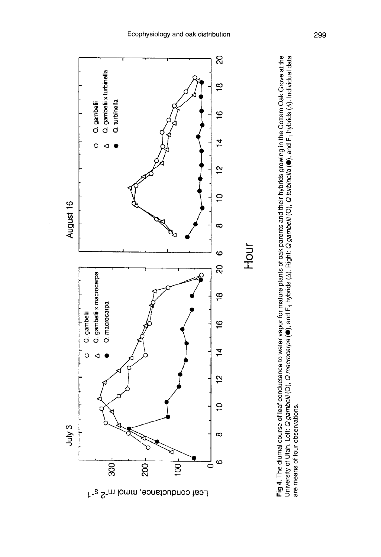

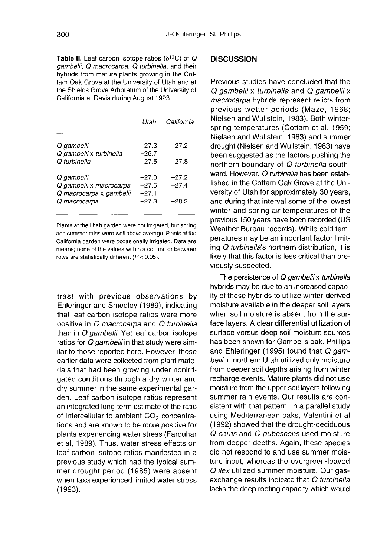Table II. Leaf carbon isotope ratios ( $\delta^{13}C$ ) of  $Q$ gambelii, Q macrocarpa, Q turbinella, and their hybrids from mature plants growing in the Cottam Oak Grove at the University of Utah and at the Shields Grove Arboretum of the University of California at Davis during August 1993.

|                                                                  | Utah                          | California         |
|------------------------------------------------------------------|-------------------------------|--------------------|
| Q gambelii<br>Q gambelii x turbinella                            | $-27.3$<br>$-26.7$            | $-27.2$            |
| Q turbinella                                                     | $-27.5$                       | $-27.8$            |
| Q gambelii<br>Q gambelii x macrocarpa<br>Q macrocarpa x gambelii | $-27.3$<br>$-27.5$<br>$-27.1$ | $-27.2$<br>$-27.4$ |
| Q macrocarpa                                                     | $-27.3$                       | $-28.2$            |

Plants at the Utah garden were not irrigated, but spring and summer rains were well above average. Plants at the California garden were occasionally irrigated. Data are means: none of the values within a column or between rows are statistically different ( $P < 0.05$ ).

trast with previous observations by Ehleringer and Smedley (1989), indicating that leaf carbon isotope ratios were more positive in Q macrocarpa and Q turbinella than in Q gambelii. Yet leaf carbon isotope ratios for Q gambelii in that study were similar to those reported here. However, those earlier data were collected from plant materials that had been growing under nonirrigated conditions through a dry winter and dry summer in the same experimental garden. Leaf carbon isotope ratios represent an integrated long-term estimate of the ratio of intercellular to ambient  $CO<sub>2</sub>$  concentrations and are known to be more positive for plants experiencing water stress (Farquhar et al, 1989). Thus, water stress effects on leaf carbon isotope ratios manifested in a previous study which had the typical summer drought period (1985) were absent when taxa experienced limited water stress (1993).

# **DISCUSSION**

Previous studies have concluded that the Q gambelii x turbinella and Q gambelii x macrocarpa hybrids represent relicts from previous wetter periods (Maze, 1968; Nielsen and Wullstein, 1983). Both winterspring temperatures (Cottam et al, 1959; Nielsen and Wullstein, 1983) and summer drought (Nielsen and Wullstein, 1983) have been suggested as the factors pushing the northern boundary of Q turbinella southward. However, Q turbinella has been established in the Cottam Oak Grove at the University of Utah for approximately 30 years, and during that interval some of the lowest winter and spring air temperatures of the previous 150 years have been recorded (US Weather Bureau records). While cold temperatures may be an important factor limiting Q turbinella's northern distribution, it is likely that this factor is less critical than previously suspected.

The persistence of Q gambelii x turbinella hybrids may be due to an increased capacity of these hybrids to utilize winter-derived moisture available in the deeper soil layers when soil moisture is absent from the surface layers. A clear differential utilization of surface versus deep soil moisture sources has been shown for Gambel's oak. Phillips and Ehleringer (1995) found that Q gambelii in northern Utah utilized only moisture from deeper soil depths arising from winter recharge events. Mature plants did not use moisture from the upper soil layers following summer rain events. Our results are consistent with that pattern. In a parallel study using Mediterranean oaks, Valentini et al (1992) showed that the drought-deciduous Q cerris and Q pubescens used moisture from deeper depths. Again, these species did not respond to and use summer moisture input, whereas the evergreen-leaved Q ilex utilized summer moisture. Our gasexchange results indicate that Q turbinella lacks the deep rooting capacity which would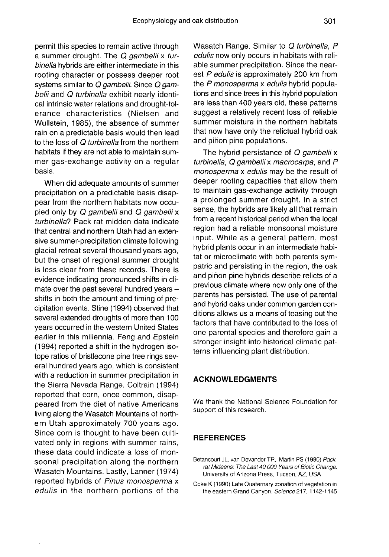permit this species to remain active through<br>a summer drought. The Q gambelii x turbinella hybrids are either intermediate in this rooting character or possess deeper root systems similar to Q gambelii. Since Q gambelii and Q turbinella exhibit nearly identical intrinsic water relations and drought-tol erance characteristics (Nielsen and Wullstein, 1985), the absence of summer rain on a predictable basis would then lead to the loss of Q turbinella from the northern habitats if they are not able to maintain summer gas-exchange activity on a regular basis.

When did adequate amounts of summer precipitation on a predictable basis disappear from the northern habitats now occupied only by Q gambelii and Q gambelii x turbinella? Pack rat midden data indicate that central and northern Utah had an extensive summer-precipitation climate following glacial retreat several thousand years ago, but the onset of regional summer drought is less clear from these records. There is evidence indicating pronounced shifts in climate over the past several hundred years  $$ shifts in both the amount and timing of precipitation events. Stine (1994) observed that several extended droughts of more than 100 years occurred in the western United States earlier in this millennia. Feng and Epstein (1994) reported a shift in the hydrogen isotope ratios of bristlecone pine tree rings several hundred years ago, which is consistent with a reduction in summer precipitation in the Sierra Nevada Range. Coltrain (1994) reported that corn, once common, disappeared from the diet of native Americans living along the Wasatch Mountains of northern Utah approximately 700 years ago. Since corn is thought to have been cultivated only in regions with summer rains, these data could indicate a loss of monsoonal precipitation along the northern Wasatch Mountains. Lastly, Lanner (1974) reported hybrids of Pinus monosperma x edulis in the northern portions of the Wasatch Range. Similar to Q turbinella, P edulis now only occurs in habitats with reliable summer precipitation. Since the nearest P edulis is approximately 200 km from the P monosperma x edulis hybrid populations and since trees in this hybrid population are less than 400 years old, these patterns suggest a relatively recent loss of reliable summer moisture in the northern habitats that now have only the relictual hybrid oak and piñon pine populations.

The hybrid persistance of  $Q$  gambelii x turbinella, Q gambelii x macrocarpa, and P monosperma x edulis may be the result of deeper rooting capacities that allow them to maintain gas-exchange activity through a prolonged summer drought. In a strict sense, the hybrids are likely all that remain from a recent historical period when the local region had a reliable monsoonal moisture input. While as a general pattern, most hybrid plants occur in an intermediate habitat or microclimate with both parents sympatric and persisting in the region, the oak and piñon pine hybrids describe relicts of a previous climate where now only one of the parents has persisted. The use of parental and hybrid oaks under common garden conditions allows us a means of teasing out the factors that have contributed to the loss of one parental species and therefore gain a stronger insight into historical climatic pat terns influencing plant distribution.

#### ACKNOWLEDGMENTS

We thank the National Science Foundation for support of this research.

# **REFERENCES**

- Betancourt JL, van Devander TR, Martin PS (1990) Packrat Mideens: The Last 40 000 Years of Biotic Change. University of Arizona Press, Tucson, AZ, USA
- Coke K (1990) Late Quaternary zonation of vegetation in the eastern Grand Canyon. Science 217, 1142-1145